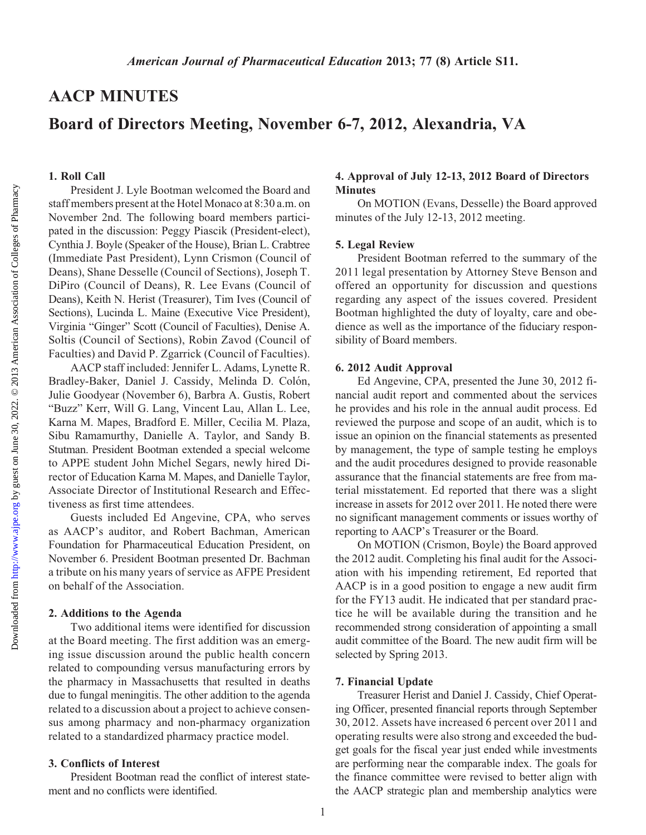Downloaded from

# AACP MINUTES

# Board of Directors Meeting, November 6-7, 2012, Alexandria, VA

#### 1. Roll Call

President J. Lyle Bootman welcomed the Board and staff members present at the Hotel Monaco at 8:30 a.m. on November 2nd. The following board members participated in the discussion: Peggy Piascik (President-elect), Cynthia J. Boyle (Speaker of the House), Brian L. Crabtree (Immediate Past President), Lynn Crismon (Council of Deans), Shane Desselle (Council of Sections), Joseph T. DiPiro (Council of Deans), R. Lee Evans (Council of Deans), Keith N. Herist (Treasurer), Tim Ives (Council of Sections), Lucinda L. Maine (Executive Vice President), Virginia "Ginger" Scott (Council of Faculties), Denise A. Soltis (Council of Sections), Robin Zavod (Council of Faculties) and David P. Zgarrick (Council of Faculties).

AACP staff included: Jennifer L. Adams, Lynette R. Bradley-Baker, Daniel J. Cassidy, Melinda D. Colón, Julie Goodyear (November 6), Barbra A. Gustis, Robert "Buzz" Kerr, Will G. Lang, Vincent Lau, Allan L. Lee, Karna M. Mapes, Bradford E. Miller, Cecilia M. Plaza, Sibu Ramamurthy, Danielle A. Taylor, and Sandy B. Stutman. President Bootman extended a special welcome to APPE student John Michel Segars, newly hired Director of Education Karna M. Mapes, and Danielle Taylor, Associate Director of Institutional Research and Effectiveness as first time attendees.

Guests included Ed Angevine, CPA, who serves as AACP's auditor, and Robert Bachman, American Foundation for Pharmaceutical Education President, on November 6. President Bootman presented Dr. Bachman a tribute on his many years of service as AFPE President on behalf of the Association.

#### 2. Additions to the Agenda

Two additional items were identified for discussion at the Board meeting. The first addition was an emerging issue discussion around the public health concern related to compounding versus manufacturing errors by the pharmacy in Massachusetts that resulted in deaths due to fungal meningitis. The other addition to the agenda related to a discussion about a project to achieve consensus among pharmacy and non-pharmacy organization related to a standardized pharmacy practice model.

### 3. Conflicts of Interest

President Bootman read the conflict of interest statement and no conflicts were identified.

### 4. Approval of July 12-13, 2012 Board of Directors **Minutes**

On MOTION (Evans, Desselle) the Board approved minutes of the July 12-13, 2012 meeting.

#### 5. Legal Review

President Bootman referred to the summary of the 2011 legal presentation by Attorney Steve Benson and offered an opportunity for discussion and questions regarding any aspect of the issues covered. President Bootman highlighted the duty of loyalty, care and obedience as well as the importance of the fiduciary responsibility of Board members.

#### 6. 2012 Audit Approval

Ed Angevine, CPA, presented the June 30, 2012 financial audit report and commented about the services he provides and his role in the annual audit process. Ed reviewed the purpose and scope of an audit, which is to issue an opinion on the financial statements as presented by management, the type of sample testing he employs and the audit procedures designed to provide reasonable assurance that the financial statements are free from material misstatement. Ed reported that there was a slight increase in assets for 2012 over 2011. He noted there were no significant management comments or issues worthy of reporting to AACP's Treasurer or the Board.

On MOTION (Crismon, Boyle) the Board approved the 2012 audit. Completing his final audit for the Association with his impending retirement, Ed reported that AACP is in a good position to engage a new audit firm for the FY13 audit. He indicated that per standard practice he will be available during the transition and he recommended strong consideration of appointing a small audit committee of the Board. The new audit firm will be selected by Spring 2013.

#### 7. Financial Update

Treasurer Herist and Daniel J. Cassidy, Chief Operating Officer, presented financial reports through September 30, 2012. Assets have increased 6 percent over 2011 and operating results were also strong and exceeded the budget goals for the fiscal year just ended while investments are performing near the comparable index. The goals for the finance committee were revised to better align with the AACP strategic plan and membership analytics were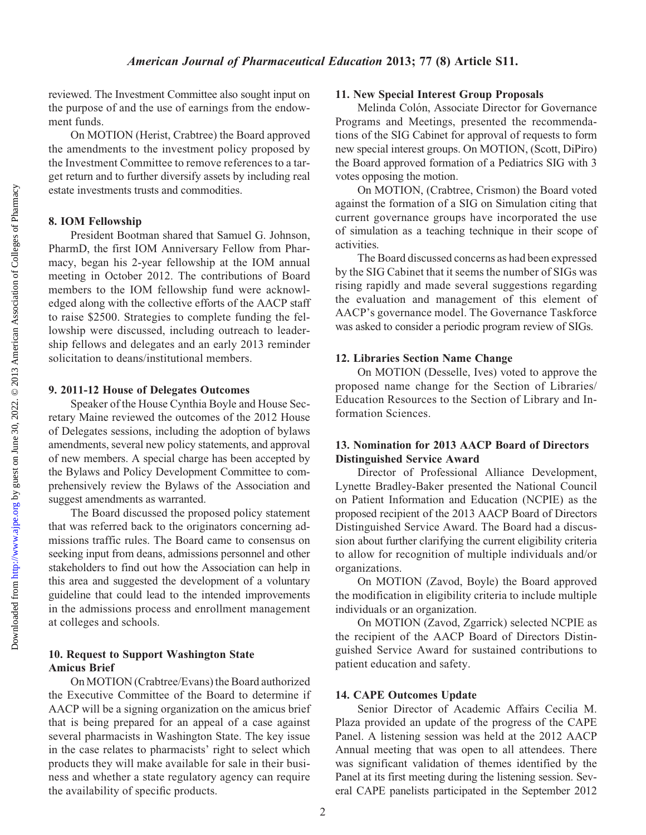# American Journal of Pharmaceutical Education 2013; 77 (8) Article S11.

reviewed. The Investment Committee also sought input on the purpose of and the use of earnings from the endowment funds.

On MOTION (Herist, Crabtree) the Board approved the amendments to the investment policy proposed by the Investment Committee to remove references to a target return and to further diversify assets by including real estate investments trusts and commodities.

# 8. IOM Fellowship

President Bootman shared that Samuel G. Johnson, PharmD, the first IOM Anniversary Fellow from Pharmacy, began his 2-year fellowship at the IOM annual meeting in October 2012. The contributions of Board members to the IOM fellowship fund were acknowledged along with the collective efforts of the AACP staff to raise \$2500. Strategies to complete funding the fellowship were discussed, including outreach to leadership fellows and delegates and an early 2013 reminder solicitation to deans/institutional members.

# 9. 2011-12 House of Delegates Outcomes

Speaker of the House Cynthia Boyle and House Secretary Maine reviewed the outcomes of the 2012 House of Delegates sessions, including the adoption of bylaws amendments, several new policy statements, and approval of new members. A special charge has been accepted by the Bylaws and Policy Development Committee to comprehensively review the Bylaws of the Association and suggest amendments as warranted.

The Board discussed the proposed policy statement that was referred back to the originators concerning admissions traffic rules. The Board came to consensus on seeking input from deans, admissions personnel and other stakeholders to find out how the Association can help in this area and suggested the development of a voluntary guideline that could lead to the intended improvements in the admissions process and enrollment management at colleges and schools.

# 10. Request to Support Washington State Amicus Brief

On MOTION (Crabtree/Evans) the Board authorized the Executive Committee of the Board to determine if AACP will be a signing organization on the amicus brief that is being prepared for an appeal of a case against several pharmacists in Washington State. The key issue in the case relates to pharmacists' right to select which products they will make available for sale in their business and whether a state regulatory agency can require the availability of specific products.

# 11. New Special Interest Group Proposals

Melinda Colón, Associate Director for Governance Programs and Meetings, presented the recommendations of the SIG Cabinet for approval of requests to form new special interest groups. On MOTION, (Scott, DiPiro) the Board approved formation of a Pediatrics SIG with 3 votes opposing the motion.

On MOTION, (Crabtree, Crismon) the Board voted against the formation of a SIG on Simulation citing that current governance groups have incorporated the use of simulation as a teaching technique in their scope of activities.

The Board discussed concerns as had been expressed by the SIG Cabinet that it seems the number of SIGs was rising rapidly and made several suggestions regarding the evaluation and management of this element of AACP's governance model. The Governance Taskforce was asked to consider a periodic program review of SIGs.

# 12. Libraries Section Name Change

On MOTION (Desselle, Ives) voted to approve the proposed name change for the Section of Libraries/ Education Resources to the Section of Library and Information Sciences.

# 13. Nomination for 2013 AACP Board of Directors Distinguished Service Award

Director of Professional Alliance Development, Lynette Bradley-Baker presented the National Council on Patient Information and Education (NCPIE) as the proposed recipient of the 2013 AACP Board of Directors Distinguished Service Award. The Board had a discussion about further clarifying the current eligibility criteria to allow for recognition of multiple individuals and/or organizations.

On MOTION (Zavod, Boyle) the Board approved the modification in eligibility criteria to include multiple individuals or an organization.

On MOTION (Zavod, Zgarrick) selected NCPIE as the recipient of the AACP Board of Directors Distinguished Service Award for sustained contributions to patient education and safety.

# 14. CAPE Outcomes Update

Senior Director of Academic Affairs Cecilia M. Plaza provided an update of the progress of the CAPE Panel. A listening session was held at the 2012 AACP Annual meeting that was open to all attendees. There was significant validation of themes identified by the Panel at its first meeting during the listening session. Several CAPE panelists participated in the September 2012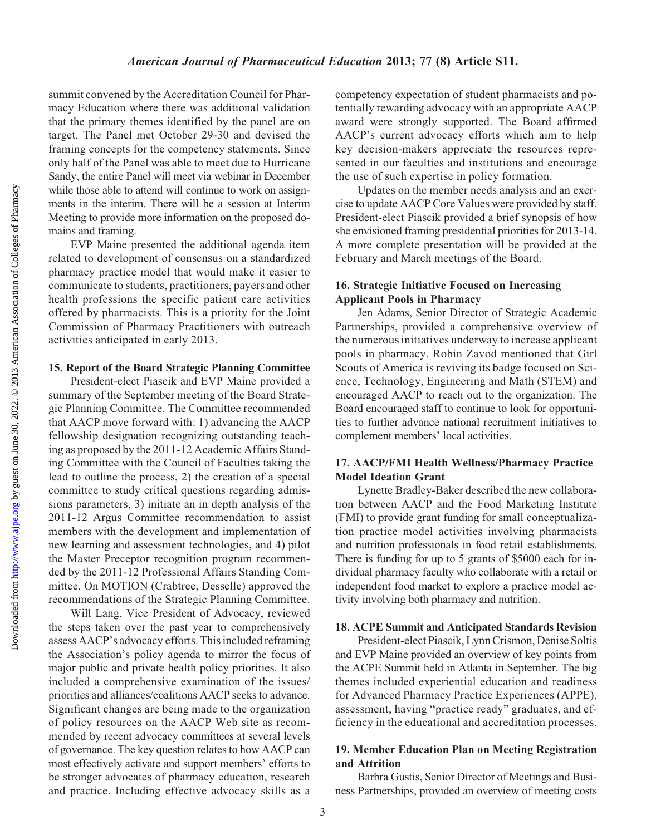Downloaded from

### American Journal of Pharmaceutical Education 2013; 77 (8) Article S11.

summit convened by the Accreditation Council for Pharmacy Education where there was additional validation that the primary themes identified by the panel are on target. The Panel met October 29-30 and devised the framing concepts for the competency statements. Since only half of the Panel was able to meet due to Hurricane Sandy, the entire Panel will meet via webinar in December while those able to attend will continue to work on assignments in the interim. There will be a session at Interim Meeting to provide more information on the proposed domains and framing.

EVP Maine presented the additional agenda item related to development of consensus on a standardized pharmacy practice model that would make it easier to communicate to students, practitioners, payers and other health professions the specific patient care activities offered by pharmacists. This is a priority for the Joint Commission of Pharmacy Practitioners with outreach activities anticipated in early 2013.

#### 15. Report of the Board Strategic Planning Committee

President-elect Piascik and EVP Maine provided a summary of the September meeting of the Board Strategic Planning Committee. The Committee recommended that AACP move forward with: 1) advancing the AACP fellowship designation recognizing outstanding teaching as proposed by the 2011-12 Academic Affairs Standing Committee with the Council of Faculties taking the lead to outline the process, 2) the creation of a special committee to study critical questions regarding admissions parameters, 3) initiate an in depth analysis of the 2011-12 Argus Committee recommendation to assist members with the development and implementation of new learning and assessment technologies, and 4) pilot the Master Preceptor recognition program recommended by the 2011-12 Professional Affairs Standing Committee. On MOTION (Crabtree, Desselle) approved the recommendations of the Strategic Planning Committee.

Will Lang, Vice President of Advocacy, reviewed the steps taken over the past year to comprehensively assess AACP's advocacy efforts. This included reframing the Association's policy agenda to mirror the focus of major public and private health policy priorities. It also included a comprehensive examination of the issues/ priorities and alliances/coalitions AACP seeks to advance. Significant changes are being made to the organization of policy resources on the AACP Web site as recommended by recent advocacy committees at several levels of governance. The key question relates to how AACP can most effectively activate and support members' efforts to be stronger advocates of pharmacy education, research and practice. Including effective advocacy skills as a

competency expectation of student pharmacists and potentially rewarding advocacy with an appropriate AACP award were strongly supported. The Board affirmed AACP's current advocacy efforts which aim to help key decision-makers appreciate the resources represented in our faculties and institutions and encourage the use of such expertise in policy formation.

Updates on the member needs analysis and an exercise to update AACP Core Values were provided by staff. President-elect Piascik provided a brief synopsis of how she envisioned framing presidential priorities for 2013-14. A more complete presentation will be provided at the February and March meetings of the Board.

### 16. Strategic Initiative Focused on Increasing Applicant Pools in Pharmacy

Jen Adams, Senior Director of Strategic Academic Partnerships, provided a comprehensive overview of the numerous initiatives underway to increase applicant pools in pharmacy. Robin Zavod mentioned that Girl Scouts of America is reviving its badge focused on Science, Technology, Engineering and Math (STEM) and encouraged AACP to reach out to the organization. The Board encouraged staff to continue to look for opportunities to further advance national recruitment initiatives to complement members' local activities.

### 17. AACP/FMI Health Wellness/Pharmacy Practice Model Ideation Grant

Lynette Bradley-Baker described the new collaboration between AACP and the Food Marketing Institute (FMI) to provide grant funding for small conceptualization practice model activities involving pharmacists and nutrition professionals in food retail establishments. There is funding for up to 5 grants of \$5000 each for individual pharmacy faculty who collaborate with a retail or independent food market to explore a practice model activity involving both pharmacy and nutrition.

### 18. ACPE Summit and Anticipated Standards Revision

President-elect Piascik, Lynn Crismon, Denise Soltis and EVP Maine provided an overview of key points from the ACPE Summit held in Atlanta in September. The big themes included experiential education and readiness for Advanced Pharmacy Practice Experiences (APPE), assessment, having "practice ready" graduates, and efficiency in the educational and accreditation processes.

### 19. Member Education Plan on Meeting Registration and Attrition

Barbra Gustis, Senior Director of Meetings and Business Partnerships, provided an overview of meeting costs